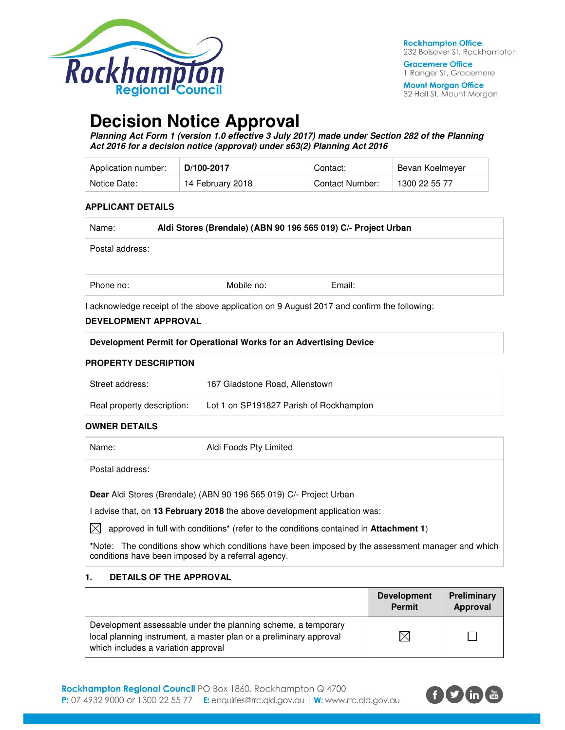

**Mount Morgan Office** 32 Hall St, Mount Morgan

# **Decision Notice Approval**

**Planning Act Form 1 (version 1.0 effective 3 July 2017) made under Section 282 of the Planning Act 2016 for a decision notice (approval) under s63(2) Planning Act 2016** 

| Application number: | D/100-2017       | Contact:               | Bevan Koelmever |
|---------------------|------------------|------------------------|-----------------|
| Notice Date:        | 14 February 2018 | <b>Contact Number:</b> | 1300 22 55 77   |

#### **APPLICANT DETAILS**

| Name:           | Aldi Stores (Brendale) (ABN 90 196 565 019) C/- Project Urban |            |        |  |
|-----------------|---------------------------------------------------------------|------------|--------|--|
| Postal address: |                                                               |            |        |  |
| Phone no:       |                                                               | Mobile no: | Email: |  |

I acknowledge receipt of the above application on 9 August 2017 and confirm the following:

### **DEVELOPMENT APPROVAL**

| Development Permit for Operational Works for an Advertising Device |                                |
|--------------------------------------------------------------------|--------------------------------|
| <b>PROPERTY DESCRIPTION</b>                                        |                                |
| Street address:                                                    | 167 Gladstone Road, Allenstown |
|                                                                    |                                |

## Real property description: Lot 1 on SP191827 Parish of Rockhampton

## **OWNER DETAILS**

| Name:           | Aldi Foods Pty Limited                                             |
|-----------------|--------------------------------------------------------------------|
| Postal address: |                                                                    |
|                 | Dear Aldi Stores (Brendale) (ABN 90 196 565 019) C/- Project Urban |

I advise that, on **13 February 2018** the above development application was:

 $\boxtimes$  approved in full with conditions<sup>\*</sup> (refer to the conditions contained in **Attachment 1**)

**\***Note:The conditions show which conditions have been imposed by the assessment manager and which conditions have been imposed by a referral agency.

### **1. DETAILS OF THE APPROVAL**

|                                                                                                                                                                            | <b>Development</b><br><b>Permit</b> | Preliminary<br>Approval |
|----------------------------------------------------------------------------------------------------------------------------------------------------------------------------|-------------------------------------|-------------------------|
| Development assessable under the planning scheme, a temporary<br>local planning instrument, a master plan or a preliminary approval<br>which includes a variation approval |                                     |                         |

Rockhampton Regional Council PO Box 1860, Rockhampton Q 4700 P: 07 4932 9000 or 1300 22 55 77 | E: enquiries@rrc.qld.gov.au | W: www.rrc.qld.gov.au

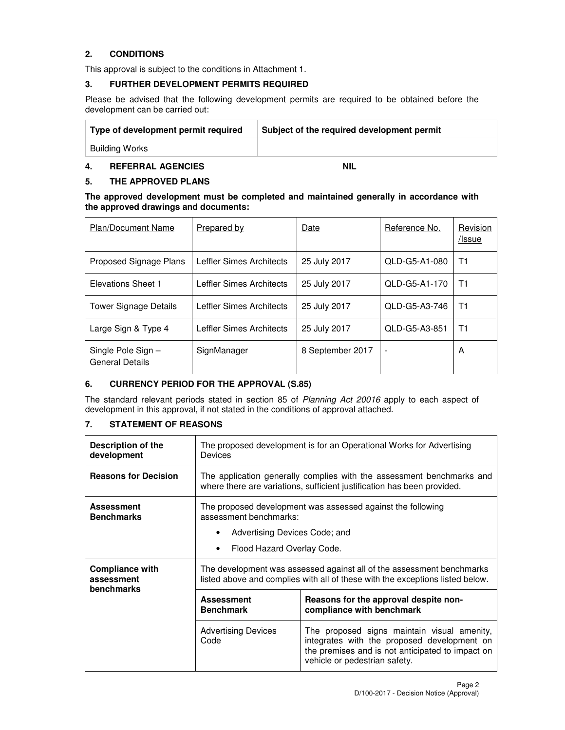## **2. CONDITIONS**

This approval is subject to the conditions in Attachment 1.

## **3. FURTHER DEVELOPMENT PERMITS REQUIRED**

Please be advised that the following development permits are required to be obtained before the development can be carried out:

| Type of development permit required | Subject of the required development permit |
|-------------------------------------|--------------------------------------------|
| Building Works                      |                                            |

## **4. REFERRAL AGENCIES NIL**

## **5. THE APPROVED PLANS**

#### **The approved development must be completed and maintained generally in accordance with the approved drawings and documents:**

| <b>Plan/Document Name</b>                   | <b>Prepared by</b>       | Date             | Reference No.            | Revision<br>/Issue |
|---------------------------------------------|--------------------------|------------------|--------------------------|--------------------|
| Proposed Signage Plans                      | Leffler Simes Architects | 25 July 2017     | QLD-G5-A1-080            | T1                 |
| Elevations Sheet 1                          | Leffler Simes Architects | 25 July 2017     | QLD-G5-A1-170            | T1                 |
| <b>Tower Signage Details</b>                | Leffler Simes Architects | 25 July 2017     | QLD-G5-A3-746            | Τ1                 |
| Large Sign & Type 4                         | Leffler Simes Architects | 25 July 2017     | QLD-G5-A3-851            | T1                 |
| Single Pole Sign-<br><b>General Details</b> | SignManager              | 8 September 2017 | $\overline{\phantom{a}}$ | A                  |

### **6. CURRENCY PERIOD FOR THE APPROVAL (S.85)**

The standard relevant periods stated in section 85 of Planning Act 20016 apply to each aspect of development in this approval, if not stated in the conditions of approval attached.

## **7. STATEMENT OF REASONS**

| Description of the<br>development                         | The proposed development is for an Operational Works for Advertising<br>Devices                                                                  |                                                                                                                                                                                 |  |  |  |
|-----------------------------------------------------------|--------------------------------------------------------------------------------------------------------------------------------------------------|---------------------------------------------------------------------------------------------------------------------------------------------------------------------------------|--|--|--|
| <b>Reasons for Decision</b>                               | The application generally complies with the assessment benchmarks and<br>where there are variations, sufficient justification has been provided. |                                                                                                                                                                                 |  |  |  |
| <b>Assessment</b><br><b>Benchmarks</b>                    | The proposed development was assessed against the following<br>assessment benchmarks:                                                            |                                                                                                                                                                                 |  |  |  |
|                                                           | Advertising Devices Code; and                                                                                                                    |                                                                                                                                                                                 |  |  |  |
|                                                           |                                                                                                                                                  | Flood Hazard Overlay Code.                                                                                                                                                      |  |  |  |
| <b>Compliance with</b><br>assessment<br><b>benchmarks</b> |                                                                                                                                                  | The development was assessed against all of the assessment benchmarks<br>listed above and complies with all of these with the exceptions listed below.                          |  |  |  |
|                                                           | <b>Assessment</b><br><b>Benchmark</b>                                                                                                            | Reasons for the approval despite non-<br>compliance with benchmark                                                                                                              |  |  |  |
|                                                           | <b>Advertising Devices</b><br>Code                                                                                                               | The proposed signs maintain visual amenity,<br>integrates with the proposed development on<br>the premises and is not anticipated to impact on<br>vehicle or pedestrian safety. |  |  |  |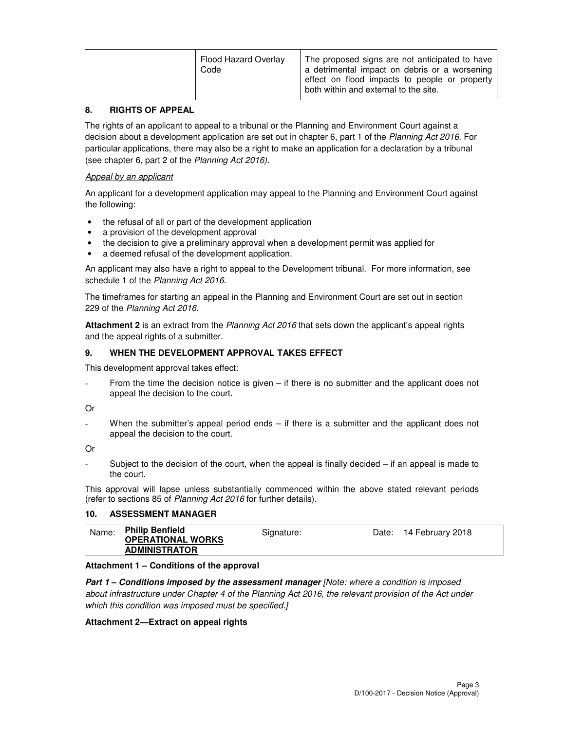| Flood Hazard Overlay<br>Code | The proposed signs are not anticipated to have<br>a detrimental impact on debris or a worsening<br>effect on flood impacts to people or property<br>both within and external to the site. |
|------------------------------|-------------------------------------------------------------------------------------------------------------------------------------------------------------------------------------------|
|------------------------------|-------------------------------------------------------------------------------------------------------------------------------------------------------------------------------------------|

#### **8. RIGHTS OF APPEAL**

The rights of an applicant to appeal to a tribunal or the Planning and Environment Court against a decision about a development application are set out in chapter 6, part 1 of the Planning Act 2016. For particular applications, there may also be a right to make an application for a declaration by a tribunal (see chapter 6, part 2 of the Planning Act 2016).

#### Appeal by an applicant

An applicant for a development application may appeal to the Planning and Environment Court against the following:

- the refusal of all or part of the development application
- a provision of the development approval
- the decision to give a preliminary approval when a development permit was applied for
- a deemed refusal of the development application.

An applicant may also have a right to appeal to the Development tribunal. For more information, see schedule 1 of the Planning Act 2016.

The timeframes for starting an appeal in the Planning and Environment Court are set out in section 229 of the Planning Act 2016.

**Attachment 2** is an extract from the Planning Act 2016 that sets down the applicant's appeal rights and the appeal rights of a submitter.

#### **9. WHEN THE DEVELOPMENT APPROVAL TAKES EFFECT**

This development approval takes effect:

- From the time the decision notice is given – if there is no submitter and the applicant does not appeal the decision to the court.

Or

When the submitter's appeal period ends  $-$  if there is a submitter and the applicant does not appeal the decision to the court.

Or

Subject to the decision of the court, when the appeal is finally decided  $-$  if an appeal is made to the court.

This approval will lapse unless substantially commenced within the above stated relevant periods (refer to sections 85 of Planning Act 2016 for further details).

### **10. ASSESSMENT MANAGER**

| Name: | <b>Philip Benfield</b>   | Signature: | Date: 14 February 2018 |  |
|-------|--------------------------|------------|------------------------|--|
|       | <b>OPERATIONAL WORKS</b> |            |                        |  |
|       | <b>ADMINISTRATOR</b>     |            |                        |  |

#### **Attachment 1 – Conditions of the approval**

**Part 1 – Conditions imposed by the assessment manager** [Note: where a condition is imposed about infrastructure under Chapter 4 of the Planning Act 2016, the relevant provision of the Act under which this condition was imposed must be specified.]

#### **Attachment 2—Extract on appeal rights**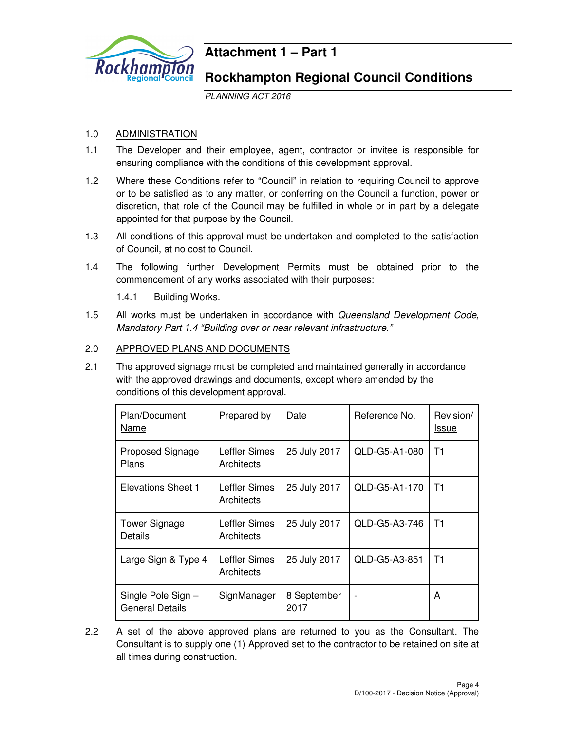

# **Attachment 1 – Part 1**

## **Rockhampton Regional Council Conditions**

PLANNING ACT 2016

## 1.0 ADMINISTRATION

- 1.1 The Developer and their employee, agent, contractor or invitee is responsible for ensuring compliance with the conditions of this development approval.
- 1.2 Where these Conditions refer to "Council" in relation to requiring Council to approve or to be satisfied as to any matter, or conferring on the Council a function, power or discretion, that role of the Council may be fulfilled in whole or in part by a delegate appointed for that purpose by the Council.
- 1.3 All conditions of this approval must be undertaken and completed to the satisfaction of Council, at no cost to Council.
- 1.4 The following further Development Permits must be obtained prior to the commencement of any works associated with their purposes:

1.4.1 Building Works.

1.5 All works must be undertaken in accordance with Queensland Development Code, Mandatory Part 1.4 "Building over or near relevant infrastructure."

## 2.0 APPROVED PLANS AND DOCUMENTS

2.1 The approved signage must be completed and maintained generally in accordance with the approved drawings and documents, except where amended by the conditions of this development approval.

| Plan/Document<br>Name                | <b>Prepared by</b>          | Date                | Reference No.  | Revision/<br><u>Issue</u> |
|--------------------------------------|-----------------------------|---------------------|----------------|---------------------------|
| Proposed Signage<br>Plans            | Leffler Simes<br>Architects | 25 July 2017        | QLD-G5-A1-080  | T1                        |
| Elevations Sheet 1                   | Leffler Simes<br>Architects | 25 July 2017        | QLD-G5-A1-170  | T1                        |
| <b>Tower Signage</b><br>Details      | Leffler Simes<br>Architects | 25 July 2017        | QLD-G5-A3-746  | T1                        |
| Large Sign & Type 4                  | Leffler Simes<br>Architects | 25 July 2017        | QLD-G5-A3-851  | T1                        |
| Single Pole Sign-<br>General Details | SignManager                 | 8 September<br>2017 | $\blacksquare$ | A                         |

2.2 A set of the above approved plans are returned to you as the Consultant. The Consultant is to supply one (1) Approved set to the contractor to be retained on site at all times during construction.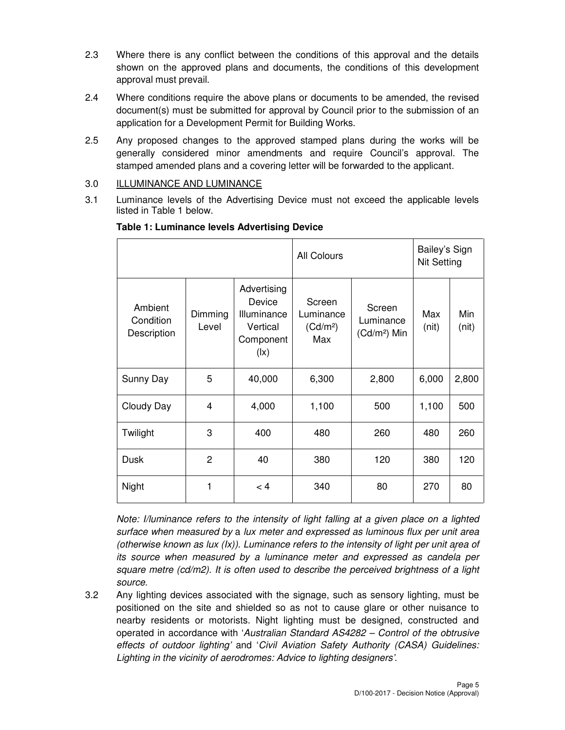- 2.3 Where there is any conflict between the conditions of this approval and the details shown on the approved plans and documents, the conditions of this development approval must prevail.
- 2.4 Where conditions require the above plans or documents to be amended, the revised document(s) must be submitted for approval by Council prior to the submission of an application for a Development Permit for Building Works.
- 2.5 Any proposed changes to the approved stamped plans during the works will be generally considered minor amendments and require Council's approval. The stamped amended plans and a covering letter will be forwarded to the applicant.
- 3.0 ILLUMINANCE AND LUMINANCE
- 3.1 Luminance levels of the Advertising Device must not exceed the applicable levels listed in Table 1 below.

|                                     |                  |                                                                                           | All Colours                                        |                                                 | Bailey's Sign<br>Nit Setting |              |
|-------------------------------------|------------------|-------------------------------------------------------------------------------------------|----------------------------------------------------|-------------------------------------------------|------------------------------|--------------|
| Ambient<br>Condition<br>Description | Dimming<br>Level | Advertising<br>Device<br>Illuminance<br>Vertical<br>Component<br>$(\mathsf{I}\mathsf{x})$ | Screen<br>Luminance<br>(Cd/m <sup>2</sup> )<br>Max | Screen<br>Luminance<br>(Cd/m <sup>2</sup> ) Min | Max<br>(nit)                 | Min<br>(nit) |
| Sunny Day                           | 5                | 40,000                                                                                    | 6,300                                              | 2,800                                           | 6,000                        | 2,800        |
| Cloudy Day                          | 4                | 4,000                                                                                     | 1,100                                              | 500                                             | 1,100                        | 500          |
| Twilight                            | 3                | 400                                                                                       | 480                                                | 260                                             | 480                          | 260          |
| Dusk                                | 2                | 40                                                                                        | 380                                                | 120                                             | 380                          | 120          |
| Night                               | 1                | < 4                                                                                       | 340                                                | 80                                              | 270                          | 80           |

## **Table 1: Luminance levels Advertising Device**

(otherwise known as lux (Ix)). Luminance refers to the intensity of light per unit area of Note: I/luminance refers to the intensity of light falling at a given place on a lighted surface when measured by a lux meter and expressed as luminous flux per unit area its source when measured by a luminance meter and expressed as candela per square metre  $(cd/m2)$ . It is often used to describe the perceived brightness of a light source.

3.2 Any lighting devices associated with the signage, such as sensory lighting, must be positioned on the site and shielded so as not to cause glare or other nuisance to nearby residents or motorists. Night lighting must be designed, constructed and operated in accordance with 'Australian Standard AS4282 – Control of the obtrusive effects of outdoor lighting' and 'Civil Aviation Safety Authority (CASA) Guidelines: Lighting in the vicinity of aerodromes: Advice to lighting designers'.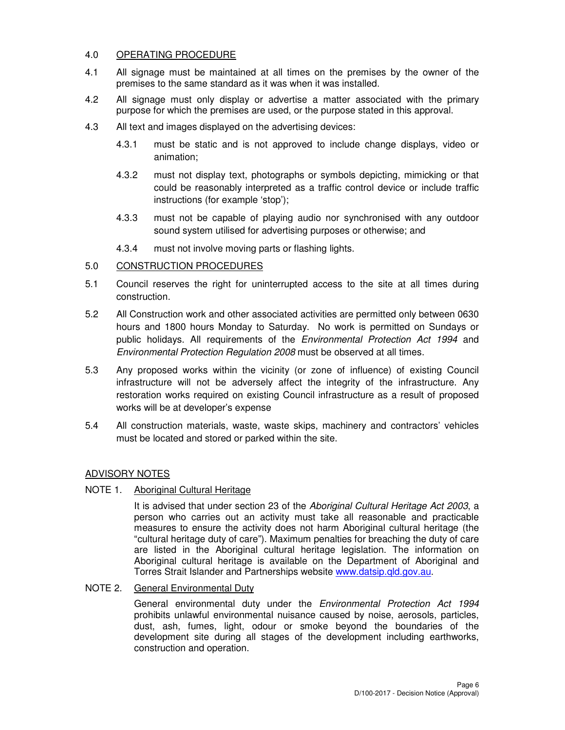## 4.0 OPERATING PROCEDURE

- 4.1 All signage must be maintained at all times on the premises by the owner of the premises to the same standard as it was when it was installed.
- 4.2 All signage must only display or advertise a matter associated with the primary purpose for which the premises are used, or the purpose stated in this approval.
- 4.3 All text and images displayed on the advertising devices:
	- 4.3.1 must be static and is not approved to include change displays, video or animation;
	- 4.3.2 must not display text, photographs or symbols depicting, mimicking or that could be reasonably interpreted as a traffic control device or include traffic instructions (for example 'stop');
	- 4.3.3 must not be capable of playing audio nor synchronised with any outdoor sound system utilised for advertising purposes or otherwise; and
	- 4.3.4 must not involve moving parts or flashing lights.

## 5.0 CONSTRUCTION PROCEDURES

- 5.1 Council reserves the right for uninterrupted access to the site at all times during construction.
- 5.2 All Construction work and other associated activities are permitted only between 0630 hours and 1800 hours Monday to Saturday. No work is permitted on Sundays or public holidays. All requirements of the Environmental Protection Act 1994 and Environmental Protection Regulation 2008 must be observed at all times.
- 5.3 Any proposed works within the vicinity (or zone of influence) of existing Council infrastructure will not be adversely affect the integrity of the infrastructure. Any restoration works required on existing Council infrastructure as a result of proposed works will be at developer's expense
- 5.4 All construction materials, waste, waste skips, machinery and contractors' vehicles must be located and stored or parked within the site.

## ADVISORY NOTES

## NOTE 1. Aboriginal Cultural Heritage

It is advised that under section 23 of the Aboriginal Cultural Heritage Act 2003, a person who carries out an activity must take all reasonable and practicable measures to ensure the activity does not harm Aboriginal cultural heritage (the "cultural heritage duty of care"). Maximum penalties for breaching the duty of care are listed in the Aboriginal cultural heritage legislation. The information on Aboriginal cultural heritage is available on the Department of Aboriginal and Torres Strait Islander and Partnerships website www.datsip.qld.gov.au.

### NOTE 2. General Environmental Duty

General environmental duty under the Environmental Protection Act 1994 prohibits unlawful environmental nuisance caused by noise, aerosols, particles, dust, ash, fumes, light, odour or smoke beyond the boundaries of the development site during all stages of the development including earthworks, construction and operation.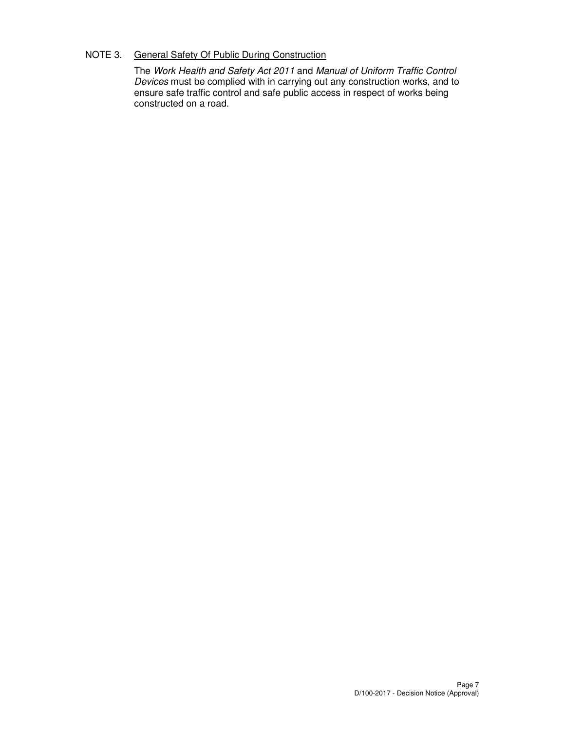## NOTE 3. General Safety Of Public During Construction

The Work Health and Safety Act 2011 and Manual of Uniform Traffic Control Devices must be complied with in carrying out any construction works, and to ensure safe traffic control and safe public access in respect of works being constructed on a road.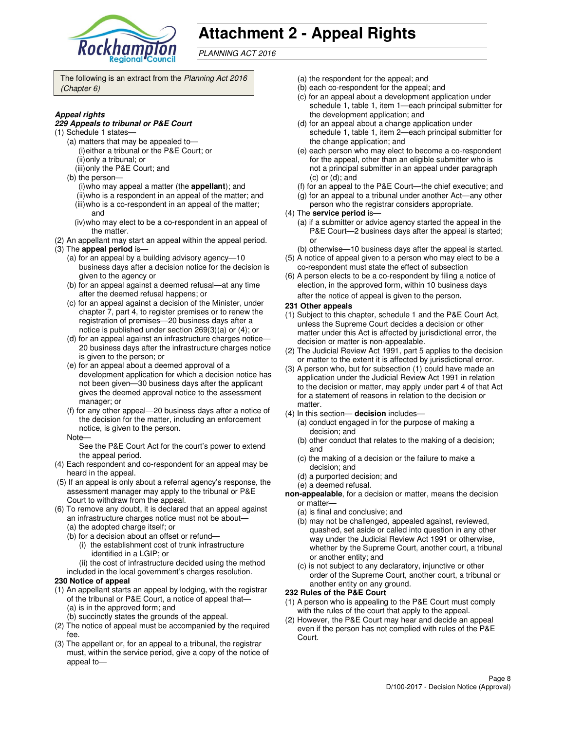

# **Attachment 2 - Appeal Rights**

PLANNING ACT 2016

The following is an extract from the Planning Act 2016 (Chapter 6)

#### **Appeal rights**

#### **229 Appeals to tribunal or P&E Court**

- (1) Schedule 1 states—
	- (a) matters that may be appealed to— (i) either a tribunal or the P&E Court; or (ii) only a tribunal; or
	- (iii) only the P&E Court; and
	- (b) the person—
		- (i) who may appeal a matter (the **appellant**); and (ii) who is a respondent in an appeal of the matter; and (iii) who is a co-respondent in an appeal of the matter;
		- and (iv) who may elect to be a co-respondent in an appeal of
	- the matter.
- (2) An appellant may start an appeal within the appeal period. (3) The **appeal period** is—
	- (a) for an appeal by a building advisory agency—10 business days after a decision notice for the decision is given to the agency or
	- (b) for an appeal against a deemed refusal—at any time after the deemed refusal happens; or
	- (c) for an appeal against a decision of the Minister, under chapter 7, part 4, to register premises or to renew the registration of premises—20 business days after a notice is published under section 269(3)(a) or (4); or
	- (d) for an appeal against an infrastructure charges notice— 20 business days after the infrastructure charges notice is given to the person; or
	- (e) for an appeal about a deemed approval of a development application for which a decision notice has not been given—30 business days after the applicant gives the deemed approval notice to the assessment manager; or
	- (f) for any other appeal—20 business days after a notice of the decision for the matter, including an enforcement notice, is given to the person.
	- Note—

See the P&E Court Act for the court's power to extend the appeal period.

- (4) Each respondent and co-respondent for an appeal may be heard in the appeal.
- (5) If an appeal is only about a referral agency's response, the assessment manager may apply to the tribunal or P&E Court to withdraw from the appeal.
- (6) To remove any doubt, it is declared that an appeal against an infrastructure charges notice must not be about—
	- (a) the adopted charge itself; or
	- (b) for a decision about an offset or refund—
		- (i) the establishment cost of trunk infrastructure identified in a LGIP; or
		- (ii) the cost of infrastructure decided using the method
	- included in the local government's charges resolution.

#### **230 Notice of appeal**

- (1) An appellant starts an appeal by lodging, with the registrar of the tribunal or P&E Court, a notice of appeal that— (a) is in the approved form; and
	- (b) succinctly states the grounds of the appeal.
- (2) The notice of appeal must be accompanied by the required fee.
- (3) The appellant or, for an appeal to a tribunal, the registrar must, within the service period, give a copy of the notice of appeal to—
- (a) the respondent for the appeal; and
- (b) each co-respondent for the appeal; and
- (c) for an appeal about a development application under schedule 1, table 1, item 1—each principal submitter for the development application; and
- (d) for an appeal about a change application under schedule 1, table 1, item 2—each principal submitter for the change application; and
- (e) each person who may elect to become a co-respondent for the appeal, other than an eligible submitter who is not a principal submitter in an appeal under paragraph (c) or (d); and
- (f) for an appeal to the P&E Court—the chief executive; and
- (g) for an appeal to a tribunal under another Act—any other
- person who the registrar considers appropriate.
- (4) The **service period** is—
	- (a) if a submitter or advice agency started the appeal in the P&E Court—2 business days after the appeal is started; or
- (b) otherwise—10 business days after the appeal is started. (5) A notice of appeal given to a person who may elect to be a
- co-respondent must state the effect of subsection (6) A person elects to be a co-respondent by filing a notice of
- election, in the approved form, within 10 business days after the notice of appeal is given to the person*.*
- **231 Other appeals**
- (1) Subject to this chapter, schedule 1 and the P&E Court Act, unless the Supreme Court decides a decision or other matter under this Act is affected by jurisdictional error, the decision or matter is non-appealable.
- (2) The Judicial Review Act 1991, part 5 applies to the decision or matter to the extent it is affected by jurisdictional error.
- (3) A person who, but for subsection (1) could have made an application under the Judicial Review Act 1991 in relation to the decision or matter, may apply under part 4 of that Act for a statement of reasons in relation to the decision or matter.
- (4) In this section— **decision** includes—
	- (a) conduct engaged in for the purpose of making a decision; and
	- (b) other conduct that relates to the making of a decision; and
	- (c) the making of a decision or the failure to make a decision; and
	- (d) a purported decision; and
	- (e) a deemed refusal.
- **non-appealable**, for a decision or matter, means the decision or matter—
	- (a) is final and conclusive; and
	- (b) may not be challenged, appealed against, reviewed, quashed, set aside or called into question in any other way under the Judicial Review Act 1991 or otherwise, whether by the Supreme Court, another court, a tribunal or another entity; and
	- (c) is not subject to any declaratory, injunctive or other order of the Supreme Court, another court, a tribunal or another entity on any ground.

#### **232 Rules of the P&E Court**

- (1) A person who is appealing to the P&E Court must comply with the rules of the court that apply to the appeal.
- (2) However, the P&E Court may hear and decide an appeal even if the person has not complied with rules of the P&E Court.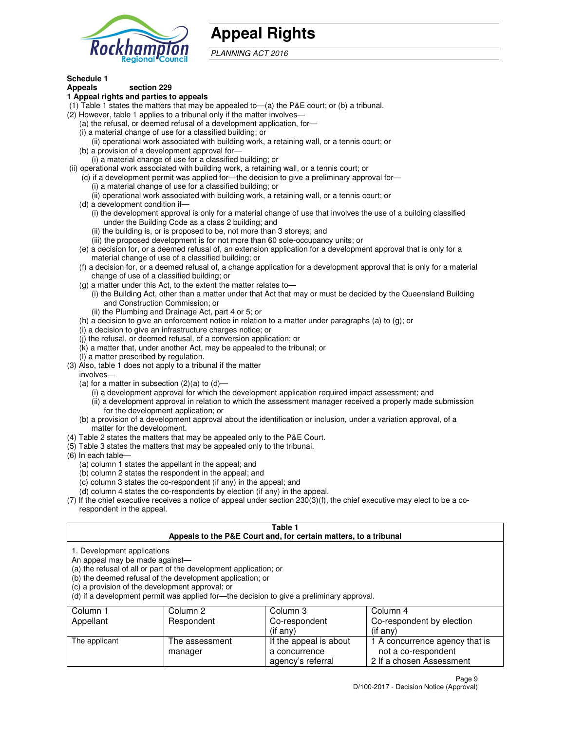

# **Appeal Rights**

PLANNING ACT 2016

#### **Schedule 1 Appeals section 229**

## **1 Appeal rights and parties to appeals**

- (1) Table 1 states the matters that may be appealed to—(a) the P&E court; or (b) a tribunal.
- (2) However, table 1 applies to a tribunal only if the matter involves—
	- (a) the refusal, or deemed refusal of a development application, for—
	- (i) a material change of use for a classified building; or
	- (ii) operational work associated with building work, a retaining wall, or a tennis court; or (b) a provision of a development approval for—
	- (i) a material change of use for a classified building; or
- (ii) operational work associated with building work, a retaining wall, or a tennis court; or
	- (c) if a development permit was applied for—the decision to give a preliminary approval for—
		- (i) a material change of use for a classified building; or
		- (ii) operational work associated with building work, a retaining wall, or a tennis court; or
	- (d) a development condition if—
		- (i) the development approval is only for a material change of use that involves the use of a building classified under the Building Code as a class 2 building; and
		- (ii) the building is, or is proposed to be, not more than 3 storeys; and
		- (iii) the proposed development is for not more than 60 sole-occupancy units; or
	- (e) a decision for, or a deemed refusal of, an extension application for a development approval that is only for a material change of use of a classified building; or
	- (f) a decision for, or a deemed refusal of, a change application for a development approval that is only for a material change of use of a classified building; or
	- (g) a matter under this Act, to the extent the matter relates to—
		- (i) the Building Act, other than a matter under that Act that may or must be decided by the Queensland Building and Construction Commission; or
		- (ii) the Plumbing and Drainage Act, part 4 or 5; or
	- (h) a decision to give an enforcement notice in relation to a matter under paragraphs (a) to (g); or
	- (i) a decision to give an infrastructure charges notice; or
	- (j) the refusal, or deemed refusal, of a conversion application; or
	- (k) a matter that, under another Act, may be appealed to the tribunal; or
	- (l) a matter prescribed by regulation.
- (3) Also, table 1 does not apply to a tribunal if the matter
- involves—
	- (a) for a matter in subsection  $(2)(a)$  to  $(d)$ 
		- (i) a development approval for which the development application required impact assessment; and
		- (ii) a development approval in relation to which the assessment manager received a properly made submission for the development application; or
	- (b) a provision of a development approval about the identification or inclusion, under a variation approval, of a matter for the development.
- (4) Table 2 states the matters that may be appealed only to the P&E Court.
- (5) Table 3 states the matters that may be appealed only to the tribunal.
- (6) In each table—
	- (a) column 1 states the appellant in the appeal; and
	- (b) column 2 states the respondent in the appeal; and
	- (c) column 3 states the co-respondent (if any) in the appeal; and
	- (d) column 4 states the co-respondents by election (if any) in the appeal.
- (7) If the chief executive receives a notice of appeal under section 230(3)(f), the chief executive may elect to be a corespondent in the appeal.

## **Table 1**

| Appeals to the P&E Court and, for certain matters, to a tribunal<br>1. Development applications<br>An appeal may be made against—<br>(a) the refusal of all or part of the development application; or<br>(b) the deemed refusal of the development application; or<br>(c) a provision of the development approval; or<br>(d) if a development permit was applied for—the decision to give a preliminary approval. |                           |                                         |                                                       |  |
|--------------------------------------------------------------------------------------------------------------------------------------------------------------------------------------------------------------------------------------------------------------------------------------------------------------------------------------------------------------------------------------------------------------------|---------------------------|-----------------------------------------|-------------------------------------------------------|--|
|                                                                                                                                                                                                                                                                                                                                                                                                                    |                           |                                         |                                                       |  |
| Appellant                                                                                                                                                                                                                                                                                                                                                                                                          | Respondent                | Co-respondent                           | Co-respondent by election                             |  |
|                                                                                                                                                                                                                                                                                                                                                                                                                    |                           | $($ if any $)$                          | $($ if any $)$                                        |  |
| The applicant                                                                                                                                                                                                                                                                                                                                                                                                      | The assessment<br>manager | If the appeal is about<br>a concurrence | 1 A concurrence agency that is<br>not a co-respondent |  |

agency's referral

2 If a chosen Assessment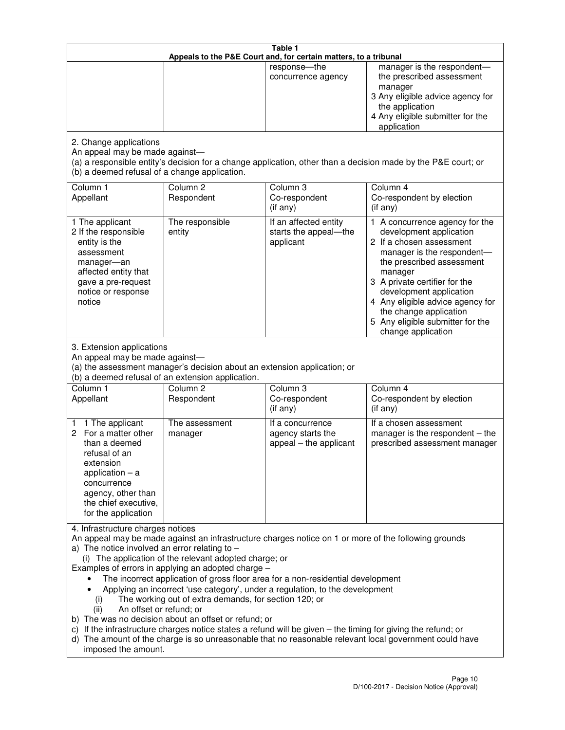| Table 1<br>Appeals to the P&E Court and, for certain matters, to a tribunal                                                                                                                          |                                                                                                                                                                                                                               |                                                                                                                                                                                                                                                                                 |                                                                                                                                                                                                                                                                                                                                                 |  |
|------------------------------------------------------------------------------------------------------------------------------------------------------------------------------------------------------|-------------------------------------------------------------------------------------------------------------------------------------------------------------------------------------------------------------------------------|---------------------------------------------------------------------------------------------------------------------------------------------------------------------------------------------------------------------------------------------------------------------------------|-------------------------------------------------------------------------------------------------------------------------------------------------------------------------------------------------------------------------------------------------------------------------------------------------------------------------------------------------|--|
|                                                                                                                                                                                                      |                                                                                                                                                                                                                               | response-the<br>concurrence agency                                                                                                                                                                                                                                              | manager is the respondent-<br>the prescribed assessment<br>manager<br>3 Any eligible advice agency for<br>the application<br>4 Any eligible submitter for the<br>application                                                                                                                                                                    |  |
| 2. Change applications<br>An appeal may be made against-<br>(b) a deemed refusal of a change application.                                                                                            |                                                                                                                                                                                                                               |                                                                                                                                                                                                                                                                                 | (a) a responsible entity's decision for a change application, other than a decision made by the P&E court; or                                                                                                                                                                                                                                   |  |
| Column 1<br>Appellant                                                                                                                                                                                | Column <sub>2</sub><br>Respondent                                                                                                                                                                                             | Column 3<br>Co-respondent<br>(if any)                                                                                                                                                                                                                                           | Column 4<br>Co-respondent by election<br>(if any)                                                                                                                                                                                                                                                                                               |  |
| 1 The applicant<br>2 If the responsible<br>entity is the<br>assessment<br>manager-an<br>affected entity that<br>gave a pre-request<br>notice or response<br>notice                                   | The responsible<br>entity                                                                                                                                                                                                     | If an affected entity<br>starts the appeal-the<br>applicant                                                                                                                                                                                                                     | 1 A concurrence agency for the<br>development application<br>2 If a chosen assessment<br>manager is the respondent-<br>the prescribed assessment<br>manager<br>3 A private certifier for the<br>development application<br>4 Any eligible advice agency for<br>the change application<br>5 Any eligible submitter for the<br>change application |  |
| 3. Extension applications<br>An appeal may be made against-<br>Column 1<br>Appellant                                                                                                                 | (a) the assessment manager's decision about an extension application; or<br>(b) a deemed refusal of an extension application.<br>Column <sub>2</sub><br>Respondent                                                            | Column 3<br>Co-respondent                                                                                                                                                                                                                                                       | Column 4<br>Co-respondent by election                                                                                                                                                                                                                                                                                                           |  |
| 1 The applicant<br>1<br>2 For a matter other<br>than a deemed<br>refusal of an<br>extension<br>application $-$ a<br>concurrence<br>agency, other than<br>the chief executive,<br>for the application | The assessment<br>manager                                                                                                                                                                                                     | (if any)<br>If a concurrence<br>agency starts the<br>appeal - the applicant                                                                                                                                                                                                     | (if any)<br>If a chosen assessment<br>manager is the respondent $-$ the<br>prescribed assessment manager                                                                                                                                                                                                                                        |  |
| 4. Infrastructure charges notices<br>a) The notice involved an error relating to $-$<br>(i)<br>An offset or refund; or<br>(ii)<br>imposed the amount.                                                | (i) The application of the relevant adopted charge; or<br>Examples of errors in applying an adopted charge -<br>The working out of extra demands, for section 120; or<br>b) The was no decision about an offset or refund; or | The incorrect application of gross floor area for a non-residential development<br>Applying an incorrect 'use category', under a regulation, to the development<br>c) If the infrastructure charges notice states a refund will be given - the timing for giving the refund; or | An appeal may be made against an infrastructure charges notice on 1 or more of the following grounds<br>d) The amount of the charge is so unreasonable that no reasonable relevant local government could have                                                                                                                                  |  |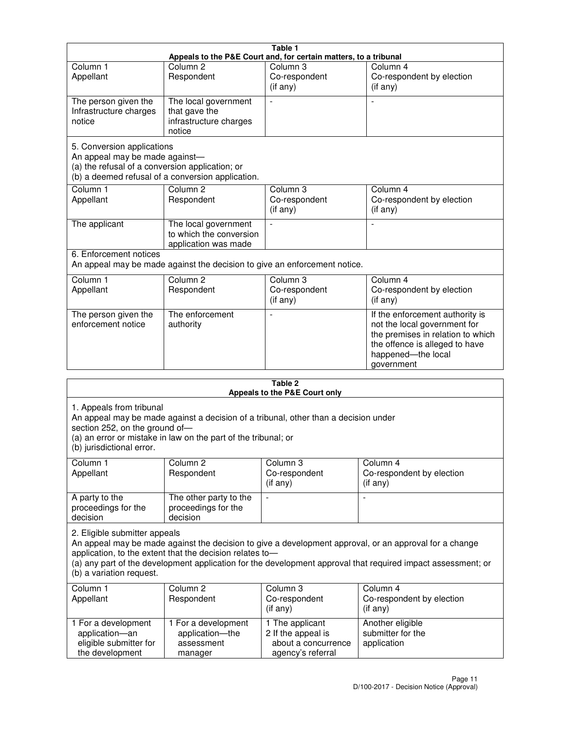| Table 1<br>Appeals to the P&E Court and, for certain matters, to a tribunal                                     |                                                                           |                                                  |                                                                                                                                                                            |  |
|-----------------------------------------------------------------------------------------------------------------|---------------------------------------------------------------------------|--------------------------------------------------|----------------------------------------------------------------------------------------------------------------------------------------------------------------------------|--|
| Column <sub>1</sub>                                                                                             | Column <sub>2</sub>                                                       | Column 3                                         | Column 4                                                                                                                                                                   |  |
| Appellant                                                                                                       | Respondent                                                                | Co-respondent<br>(if any)                        | Co-respondent by election<br>(if any)                                                                                                                                      |  |
| The person given the<br>Infrastructure charges<br>notice                                                        | The local government<br>that gave the<br>infrastructure charges<br>notice | $\blacksquare$                                   |                                                                                                                                                                            |  |
| 5. Conversion applications<br>An appeal may be made against-<br>(a) the refusal of a conversion application; or | (b) a deemed refusal of a conversion application.                         |                                                  |                                                                                                                                                                            |  |
| Column <sub>1</sub><br>Appellant                                                                                | Column <sub>2</sub><br>Respondent                                         | Column <sub>3</sub><br>Co-respondent<br>(if any) | Column 4<br>Co-respondent by election<br>(if any)                                                                                                                          |  |
| The applicant                                                                                                   | The local government<br>to which the conversion<br>application was made   |                                                  |                                                                                                                                                                            |  |
| 6. Enforcement notices<br>An appeal may be made against the decision to give an enforcement notice.             |                                                                           |                                                  |                                                                                                                                                                            |  |
| Column <sub>1</sub><br>Appellant                                                                                | Column <sub>2</sub><br>Respondent                                         | Column 3<br>Co-respondent<br>(if any)            | Column 4<br>Co-respondent by election<br>(if any)                                                                                                                          |  |
| The person given the<br>enforcement notice                                                                      | The enforcement<br>authority                                              |                                                  | If the enforcement authority is<br>not the local government for<br>the premises in relation to which<br>the offence is alleged to have<br>happened-the local<br>government |  |
| 2 Tahle                                                                                                         |                                                                           |                                                  |                                                                                                                                                                            |  |

| i avic 4<br>Appeals to the P&E Court only                                                                                                                                                                                                                                                                                                       |                                                                 |                                                                                   |                                                      |  |
|-------------------------------------------------------------------------------------------------------------------------------------------------------------------------------------------------------------------------------------------------------------------------------------------------------------------------------------------------|-----------------------------------------------------------------|-----------------------------------------------------------------------------------|------------------------------------------------------|--|
| 1. Appeals from tribunal<br>An appeal may be made against a decision of a tribunal, other than a decision under<br>section 252, on the ground of-<br>(a) an error or mistake in law on the part of the tribunal; or<br>(b) jurisdictional error.                                                                                                |                                                                 |                                                                                   |                                                      |  |
| Column 1<br>Appellant                                                                                                                                                                                                                                                                                                                           | Column <sub>2</sub><br>Respondent                               | Column <sub>3</sub><br>Co-respondent<br>(i f any)                                 | Column 4<br>Co-respondent by election<br>(if any)    |  |
| A party to the<br>proceedings for the<br>decision                                                                                                                                                                                                                                                                                               | The other party to the<br>proceedings for the<br>decision       | $\overline{\phantom{0}}$                                                          |                                                      |  |
| 2. Eligible submitter appeals<br>An appeal may be made against the decision to give a development approval, or an approval for a change<br>application, to the extent that the decision relates to-<br>(a) any part of the development application for the development approval that required impact assessment; or<br>(b) a variation request. |                                                                 |                                                                                   |                                                      |  |
| Column 1<br>Appellant                                                                                                                                                                                                                                                                                                                           | Column <sub>2</sub><br>Respondent                               | Column 3<br>Co-respondent<br>(if any)                                             | Column 4<br>Co-respondent by election<br>(if any)    |  |
| 1 For a development<br>application-an<br>eligible submitter for<br>the development                                                                                                                                                                                                                                                              | 1 For a development<br>application-the<br>assessment<br>manager | 1 The applicant<br>2 If the appeal is<br>about a concurrence<br>agency's referral | Another eligible<br>submitter for the<br>application |  |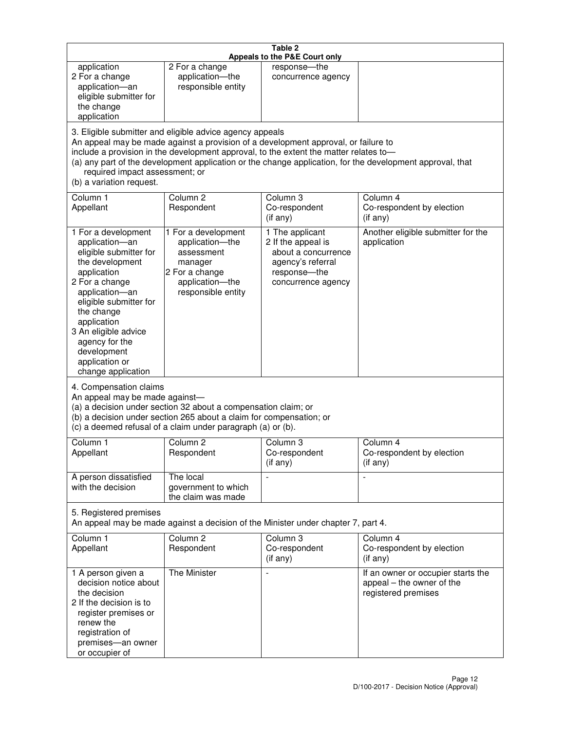| Table 2<br>Appeals to the P&E Court only                                                                                                                                                                                                                                                                                                                                                                           |                                                                                                                            |                                                                                                                         |                                                                                        |
|--------------------------------------------------------------------------------------------------------------------------------------------------------------------------------------------------------------------------------------------------------------------------------------------------------------------------------------------------------------------------------------------------------------------|----------------------------------------------------------------------------------------------------------------------------|-------------------------------------------------------------------------------------------------------------------------|----------------------------------------------------------------------------------------|
| application<br>2 For a change<br>application-an<br>eligible submitter for<br>the change<br>application                                                                                                                                                                                                                                                                                                             | 2 For a change<br>application-the<br>responsible entity                                                                    | response-the<br>concurrence agency                                                                                      |                                                                                        |
| 3. Eligible submitter and eligible advice agency appeals<br>An appeal may be made against a provision of a development approval, or failure to<br>include a provision in the development approval, to the extent the matter relates to-<br>(a) any part of the development application or the change application, for the development approval, that<br>required impact assessment; or<br>(b) a variation request. |                                                                                                                            |                                                                                                                         |                                                                                        |
| Column 1<br>Appellant                                                                                                                                                                                                                                                                                                                                                                                              | Column <sub>2</sub><br>Respondent                                                                                          | Column <sub>3</sub><br>Co-respondent<br>(if any)                                                                        | Column 4<br>Co-respondent by election<br>(if any)                                      |
| 1 For a development<br>application-an<br>eligible submitter for<br>the development<br>application<br>2 For a change<br>application-an<br>eligible submitter for<br>the change<br>application<br>3 An eligible advice<br>agency for the<br>development<br>application or<br>change application                                                                                                                      | 1 For a development<br>application-the<br>assessment<br>manager<br>2 For a change<br>application-the<br>responsible entity | 1 The applicant<br>2 If the appeal is<br>about a concurrence<br>agency's referral<br>response-the<br>concurrence agency | Another eligible submitter for the<br>application                                      |
| 4. Compensation claims<br>An appeal may be made against-<br>(a) a decision under section 32 about a compensation claim; or<br>(b) a decision under section 265 about a claim for compensation; or<br>(c) a deemed refusal of a claim under paragraph (a) or (b).                                                                                                                                                   |                                                                                                                            |                                                                                                                         |                                                                                        |
| Column 1<br>Appellant                                                                                                                                                                                                                                                                                                                                                                                              | Column 2<br>Respondent                                                                                                     | Column 3<br>Co-respondent<br>(if any)                                                                                   | Column 4<br>Co-respondent by election<br>(if any)                                      |
| A person dissatisfied<br>with the decision                                                                                                                                                                                                                                                                                                                                                                         | The local<br>government to which<br>the claim was made                                                                     |                                                                                                                         | $\blacksquare$                                                                         |
| 5. Registered premises<br>An appeal may be made against a decision of the Minister under chapter 7, part 4.                                                                                                                                                                                                                                                                                                        |                                                                                                                            |                                                                                                                         |                                                                                        |
| Column 1<br>Appellant                                                                                                                                                                                                                                                                                                                                                                                              | Column <sub>2</sub><br>Respondent                                                                                          | Column 3<br>Co-respondent<br>(if any)                                                                                   | Column 4<br>Co-respondent by election<br>(if any)                                      |
| 1 A person given a<br>decision notice about<br>the decision<br>2 If the decision is to<br>register premises or<br>renew the<br>registration of<br>premises-an owner<br>or occupier of                                                                                                                                                                                                                              | The Minister                                                                                                               | $\overline{a}$                                                                                                          | If an owner or occupier starts the<br>appeal - the owner of the<br>registered premises |